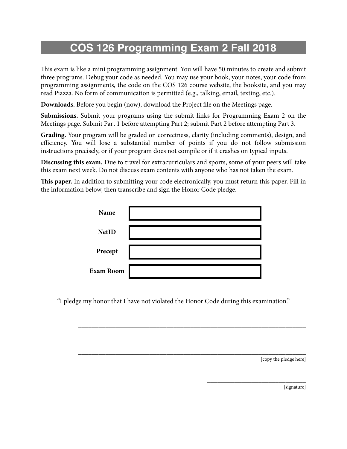## **COS 126 Programming Exam 2 Fall 2018**

This exam is like a mini programming assignment. You will have 50 minutes to create and submit three programs. Debug your code as needed. You may use your book, your notes, your code from programming assignments, the code on the COS 126 course website, the booksite, and you may read Piazza. No form of communication is permitted (e.g., talking, email, texting, etc.).

**Downloads.** Before you begin (now), download the Project file on the Meetings page.

**Submissions.** Submit your programs using the submit links for Programming Exam 2 on the Meetings page. Submit Part 1 before attempting Part 2; submit Part 2 before attempting Part 3.

**Grading.** Your program will be graded on correctness, clarity (including comments), design, and efficiency. You will lose a substantial number of points if you do not follow submission instructions precisely, or if your program does not compile or if it crashes on typical inputs.

**Discussing this exam.** Due to travel for extracurriculars and sports, some of your peers will take this exam next week. Do not discuss exam contents with anyone who has not taken the exam.

**Tis paper.** In addition to submitting your code electronically, you must return this paper. Fill in the information below, then transcribe and sign the Honor Code pledge.

| Name             |  |
|------------------|--|
| <b>NetID</b>     |  |
| Precept          |  |
| <b>Exam Room</b> |  |

"I pledge my honor that I have not violated the Honor Code during this examination."

\_\_\_\_\_\_\_\_\_\_\_\_\_\_\_\_\_\_\_\_\_\_\_\_\_\_\_\_\_\_\_\_\_\_\_\_\_\_\_\_\_\_\_\_\_\_\_\_\_\_\_\_\_\_\_\_\_\_\_\_\_\_\_\_\_\_\_

\_\_\_\_\_\_\_\_\_\_\_\_\_\_\_\_\_\_\_\_\_\_\_\_\_\_\_\_\_\_\_\_\_\_\_\_\_\_\_\_\_\_\_\_\_\_\_\_\_\_\_\_\_\_\_\_\_\_\_\_\_\_\_\_\_\_\_

[copy the pledge here]

\_\_\_\_\_\_\_\_\_\_\_\_\_\_\_\_\_\_\_\_\_\_\_\_\_\_\_\_\_

[signature]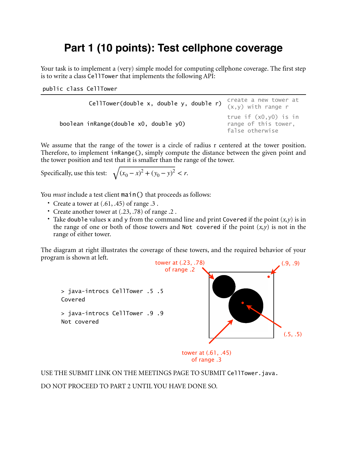## **Part 1 (10 points): Test cellphone coverage**

Your task is to implement a (very) simple model for computing cellphone coverage. The first step is to write a class CellTower that implements the following API:

public class CellTower

| CellTower(double x, double y, double r) | create a new tower at<br>(x,y) with range r                         |
|-----------------------------------------|---------------------------------------------------------------------|
| boolean inRange(double x0, double y0)   | true if $(x0, y0)$ is in<br>range of this tower,<br>false otherwise |

We assume that the range of the tower is a circle of radius r centered at the tower position. Therefore, to implement inRange(), simply compute the distance between the given point and the tower position and test that it is smaller than the range of the tower.

Specifically, use this test:  $\sqrt{(x_0 - x)^2 + (y_0 - y)^2} < r$ .

You *must* include a test client main() that proceeds as follows:

- Create a tower at  $(.61, .45)$  of range  $.3$ .
- Create another tower at (.23, .78) of range .2 .
- Take double values x and y from the command line and print Covered if the point  $(x,y)$  is in the range of one or both of those towers and Not covered if the point  $(x, y)$  is not in the range of either tower.

The diagram at right illustrates the coverage of these towers, and the required behavior of your program is shown at left.



USE THE SUBMIT LINK ON THE MEETINGS PAGE TO SUBMIT CellTower.java.

DO NOT PROCEED TO PART 2 UNTIL YOU HAVE DONE SO.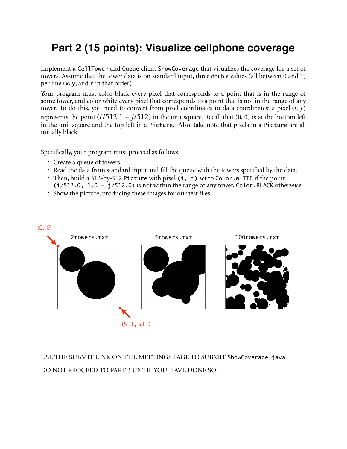## **Part 2 (15 points): Visualize cellphone coverage**

Implement a CellTower and Queue client ShowCoverage that visualizes the coverage for a set of towers. Assume that the tower data is on standard input, three double values (all between 0 and 1) per line (x, y, and r in that order).

Your program must color black every pixel that corresponds to a point that is in the range of some tower, and color white every pixel that corresponds to a point that is not in the range of any tower. To do this, you need to convert from pixel coordinates to data coordinates: a pixel (*i*, *j*) represents the point  $(i/512, 1 - j/512)$  in the unit square. Recall that  $(0, 0)$  is at the bottom left in the unit square and the top left in a Picture. Also, take note that pixels in a Picture are all initially black.

Specifically, your program must proceed as follows:

- Create a queue of towers.
- Read the data from standard input and fill the queue with the towers specified by the data.
- Then, build a 512-by-512 Picture with pixel (i, j) set to Color.WHITE if the point
- $(i/512.0, 1.0 j/512.0)$  is not within the range of any tower, Color. BLACK otherwise.
- Show the picture, producing these images for our test files.



USE THE SUBMIT LINK ON THE MEETINGS PAGE TO SUBMIT ShowCoverage.java. DO NOT PROCEED TO PART 3 UNTIL YOU HAVE DONE SO.